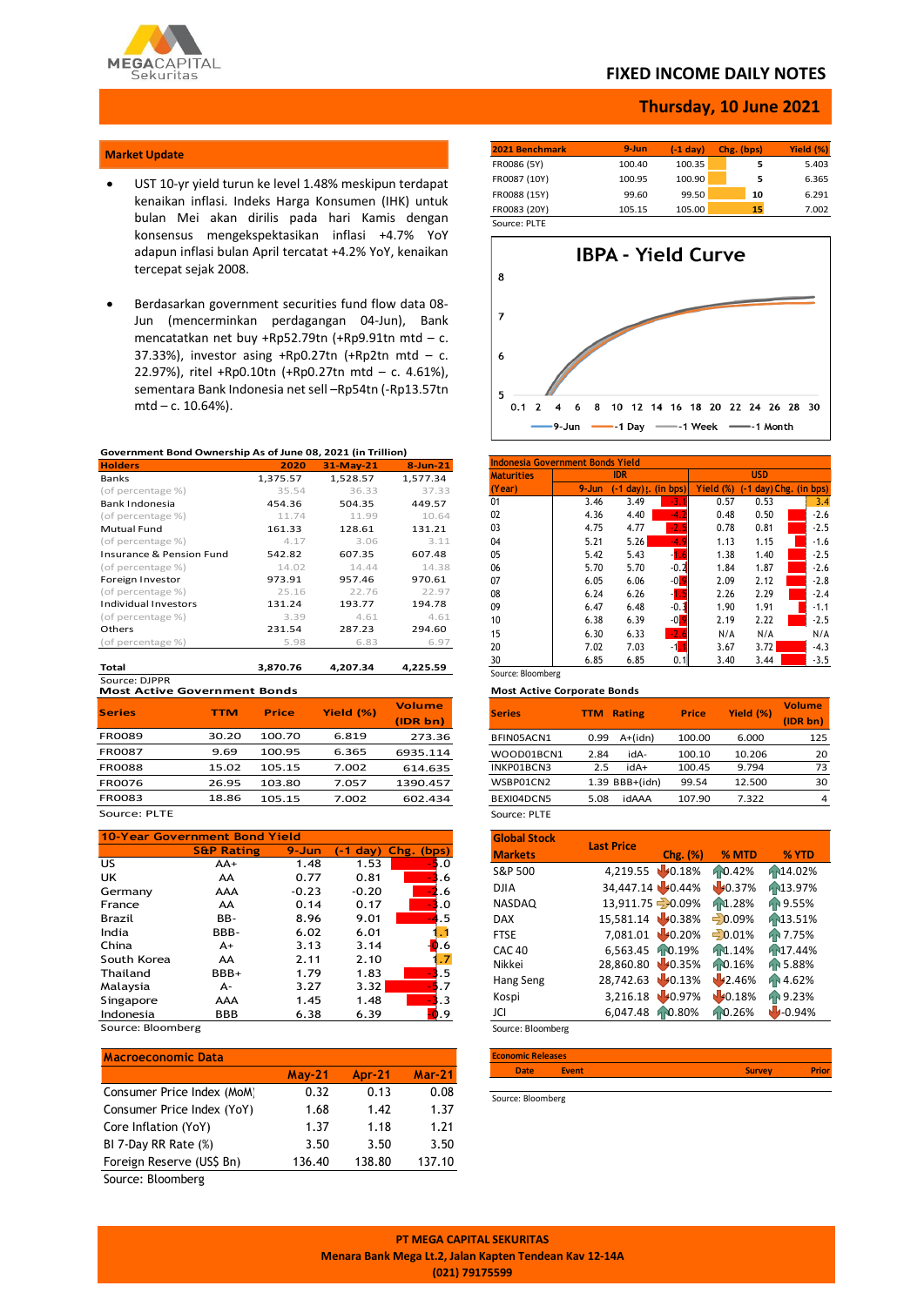

### **FIXED INCOME DAILY NOTES**

### **Thursday, 10 June 2021**

### **Market Update**

- UST 10-yr yield turun ke level 1.48% meskipun terdapat kenaikan inflasi. Indeks Harga Konsumen (IHK) untuk bulan Mei akan dirilis pada hari Kamis dengan konsensus mengekspektasikan inflasi +4.7% YoY adapun inflasi bulan April tercatat +4.2% YoY, kenaikan tercepat sejak 2008.
- Berdasarkan government securities fund flow data 08- Jun (mencerminkan perdagangan 04-Jun), Bank mencatatkan net buy +Rp52.79tn (+Rp9.91tn mtd – c. 37.33%), investor asing  $+Rp0.27$ tn  $(+Rp2tn$  mtd - c. 22.97%), ritel +Rp0.10tn (+Rp0.27tn mtd – c. 4.61%), sementara Bank Indonesia net sell –Rp54tn (-Rp13.57tn mtd – c. 10.64%).

### **Government Bond Ownership As of June 08, 2021 (in Trillion)**

| <b>Holders</b>           | 2020     | 31-May-21 | $8 - Jun-21$ |
|--------------------------|----------|-----------|--------------|
| Banks                    | 1,375.57 | 1,528.57  | 1.577.34     |
| (of percentage %)        | 35.54    | 36.33     | 37.33        |
| Bank Indonesia           | 454.36   | 504.35    | 449.57       |
| (of percentage %)        | 11.74    | 11.99     | 10.64        |
| <b>Mutual Fund</b>       | 161.33   | 128.61    | 131.21       |
| (of percentage %)        | 4.17     | 3.06      | 3.11         |
| Insurance & Pension Fund | 542.82   | 607.35    | 607.48       |
| (of percentage %)        | 14.02    | 14.44     | 14.38        |
| Foreign Investor         | 973.91   | 957.46    | 970.61       |
| (of percentage %)        | 25.16    | 22.76     | 22.97        |
| Individual Investors     | 131.24   | 193.77    | 194.78       |
| (of percentage %)        | 3.39     | 4.61      | 4.61         |
| Others                   | 231.54   | 287.23    | 294.60       |
| (of percentage %)        | 5.98     | 6.83      | 6.97         |
|                          |          |           |              |
| Total                    | 3,870.76 | 4,207.34  | 4,225.59     |

**Most Active Government Bonds** Source: DJPPR

| <b>Series</b> | TTM   | <b>Price</b> | Yield (%) | <b>Volume</b> |
|---------------|-------|--------------|-----------|---------------|
|               |       |              |           | (IDR bn)      |
| <b>FR0089</b> | 30.20 | 100.70       | 6.819     | 273.36        |
| <b>FR0087</b> | 9.69  | 100.95       | 6.365     | 6935.114      |
| <b>FR0088</b> | 15.02 | 105.15       | 7.002     | 614.635       |
| <b>FR0076</b> | 26.95 | 103.80       | 7.057     | 1390.457      |
| <b>FR0083</b> | 18.86 | 105.15       | 7.002     | 602.434       |
| Source: PLTE  |       |              |           |               |

#### **10-Year Government Bond Yield S&P Rating 9-Jun (-1 day) Chg. (bps)**  $US$   $AA+$   $1.48$   $1.53$   $5.0$ UK AA 0.77 0.81 <mark>-3</mark>.6 Germany AAA -0.23 -0.20 -2.6 France AA 0.14 0.17 -3.0 Brazil BB- 8.96 9.01 -4.5 India BBB- 6.02 6.01 1.1 China  $A+$  3.13 3.14  $\frac{1}{2}$ .6 South Korea  $AA$  2.11 2.10  $\overline{1,7}$ <br>Thailand BBB+ 1.79 1.83 1.1.3.5 Thailand BBB+  $1.79$   $1.83$   $3.5$ Malaysia A- 3.27 3.32 -5.7 Singapore AAA 1.45 1.48 3.3<br>Indonesia BBB 6.38 6.39 0.9 Indonesia

Source: Bloomberg

| <b>Macroeconomic Data</b>  |               |        |               |
|----------------------------|---------------|--------|---------------|
|                            | <b>May-21</b> | Apr-21 | <b>Mar-21</b> |
| Consumer Price Index (MoM) | 0.32          | 0.13   | 0.08          |
| Consumer Price Index (YoY) | 1.68          | 1.42   | 1.37          |
| Core Inflation (YoY)       | 1.37          | 1.18   | 1.21          |
| BI 7-Day RR Rate (%)       | 3.50          | 3.50   | 3.50          |
| Foreign Reserve (US\$ Bn)  | 136.40        | 138.80 | 137.10        |

Source: Bloomberg

| 2021 Benchmark | $9 - Jun$ | (-1 dav) | Chg. (bps) | Yield (%) |
|----------------|-----------|----------|------------|-----------|
| FR0086 (5Y)    | 100.40    | 100.35   | 5          | 5.403     |
| FR0087 (10Y)   | 100.95    | 100.90   | 5          | 6.365     |
| FR0088 (15Y)   | 99.60     | 99.50    | 10         | 6.291     |
| FR0083 (20Y)   | 105.15    | 105.00   | 15         | 7.002     |
| $\sim$<br>---- |           |          |            |           |

Source: PLTE



| 9-Jun | IDR.             |                     |              |                          |        |
|-------|------------------|---------------------|--------------|--------------------------|--------|
|       |                  |                     |              | <b>USD</b>               |        |
|       | $day)$ .<br>$-1$ | (in bps)            | Yield<br>(%) | $(-1 day)$ Chg. (in bps) |        |
| 3.46  | 3.49             | $-3.$               | 0.57         | 0.53                     | 3.4    |
| 4.36  | 4.40             | -4.                 | 0.48         | 0.50                     | $-2.6$ |
| 4.75  | 4.77             | Æ                   | 0.78         | 0.81                     | $-2.5$ |
| 5.21  | 5.26             | -4.                 | 1.13         | 1.15                     | $-1.6$ |
| 5.42  | 5.43             |                     | 1.38         | 1.40                     | $-2.5$ |
| 5.70  | 5.70             | $-0.2$              | 1.84         | 1.87                     | $-2.6$ |
| 6.05  | 6.06             | $-0$ $\blacksquare$ | 2.09         | 2.12                     | $-2.8$ |
| 6.24  | 6.26             | -1.5                | 2.26         | 2.29                     | $-2.4$ |
| 6.47  | 6.48             | $-0.1$              | 1.90         | 1.91                     | $-1.1$ |
| 6.38  | 6.39             | $-0$ $\blacksquare$ | 2.19         | 2.22                     | $-2.5$ |
| 6.30  | 6.33             | $-2.6$              | N/A          | N/A                      | N/A    |
| 7.02  | 7.03             | $-1$ <sub>1</sub>   | 3.67         | 3.72                     | $-4.3$ |
| 6.85  | 6.85             | 0.11                | 3.40         | 3.44                     | $-3.5$ |
|       |                  |                     |              |                          |        |

#### **Most Active Corporate Bonds**

| <b>Series</b> | TTM  | <b>Rating</b>    | <b>Price</b> | Yield (%) | <b>Volume</b><br>(IDR bn) |
|---------------|------|------------------|--------------|-----------|---------------------------|
| BFIN05ACN1    | 0.99 | A+(idn)          | 100.00       | 6.000     | 125                       |
| WOOD01BCN1    | 2.84 | idA-             | 100.10       | 10.206    | 20                        |
| INKP01BCN3    | 2.5  | idA+             | 100.45       | 9.794     | 73                        |
| WSBP01CN2     |      | $1.39$ BBB+(idn) | 99.54        | 12.500    | 30                        |
| BEXI04DCN5    | 5.08 | idAAA            | 107.90       | 7.322     | 4                         |
| Source: PLTE  |      |                  |              |           |                           |

| <b>Global Stock</b> | <b>Last Price</b> |                     |           |                      |
|---------------------|-------------------|---------------------|-----------|----------------------|
| <b>Markets</b>      |                   | Chg. (%)            | % MTD     | % YTD                |
| S&P 500             | 4,219.55 0.18%    |                     | 10.42%    | AN14.02%             |
| <b>DJIA</b>         | 34,447.14 40.44%  |                     | 40.37%    | 13.97%               |
| <b>NASDAQ</b>       | 13,911.75 - 0.09% |                     | 1.28%     | ₼9.55%               |
| <b>DAX</b>          | 15,581.14 40.38%  |                     | $= 0.09%$ | 13.51%               |
| <b>FTSE</b>         | 7,081.01 0.20%    |                     | $-0.01%$  | <b>RR 7.75%</b>      |
| <b>CAC 40</b>       | 6,563.45          | 10.19%              | hr1.14%   | h <sup>17.44</sup> % |
| Nikkei              | 28,860.80 40.35%  |                     | 10.16%    | FB 5.88%             |
| Hang Seng           | 28,742.63         | 10.13%              | 42.46%    | Fr 4.62%             |
| Kospi               | 3,216.18          | 40.97%              | 40.18%    | FP 9.23%             |
| JCI                 | 6,047.48          | A <sub>0.80</sub> % | 10.26%    | $-0.94%$             |
| Source: Bloomberg   |                   |                     |           |                      |

**Date Event Survey Prior**

Source: Bloomberg

**Economic Releases**

**PT MEGA CAPITAL SEKURITAS Menara Bank Mega Lt.2, Jalan Kapten Tendean Kav 12-14A (021) 79175599**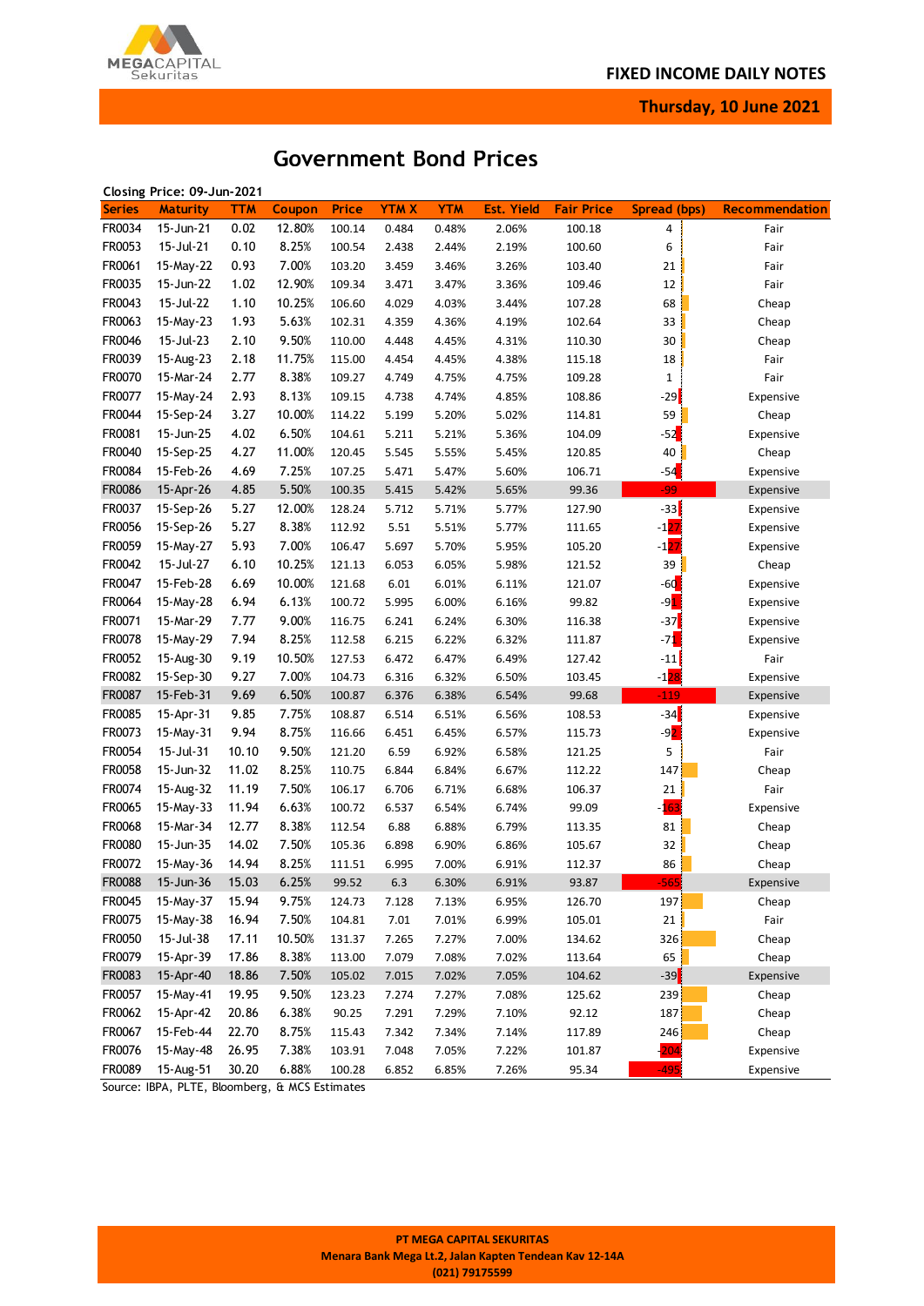

**Thursday, 10 June 2021**

# **Government Bond Prices**

|               | Closing Price: 09-Jun-2021 |            |        |              |             |            |                   |                   |                   |                       |
|---------------|----------------------------|------------|--------|--------------|-------------|------------|-------------------|-------------------|-------------------|-----------------------|
| <b>Series</b> | <b>Maturity</b>            | <b>TTM</b> | Coupon | <b>Price</b> | <b>YTMX</b> | <b>YTM</b> | <b>Est. Yield</b> | <b>Fair Price</b> | Spread (bps)      | <b>Recommendation</b> |
| FR0034        | 15-Jun-21                  | 0.02       | 12.80% | 100.14       | 0.484       | 0.48%      | 2.06%             | 100.18            | 4                 | Fair                  |
| FR0053        | 15-Jul-21                  | 0.10       | 8.25%  | 100.54       | 2.438       | 2.44%      | 2.19%             | 100.60            | 6                 | Fair                  |
| FR0061        | 15-May-22                  | 0.93       | 7.00%  | 103.20       | 3.459       | 3.46%      | 3.26%             | 103.40            | 21                | Fair                  |
| FR0035        | 15-Jun-22                  | 1.02       | 12.90% | 109.34       | 3.471       | 3.47%      | 3.36%             | 109.46            | 12                | Fair                  |
| FR0043        | 15-Jul-22                  | 1.10       | 10.25% | 106.60       | 4.029       | 4.03%      | 3.44%             | 107.28            | 68                | Cheap                 |
| FR0063        | 15-May-23                  | 1.93       | 5.63%  | 102.31       | 4.359       | 4.36%      | 4.19%             | 102.64            | 33                | Cheap                 |
| FR0046        | 15-Jul-23                  | 2.10       | 9.50%  | 110.00       | 4.448       | 4.45%      | 4.31%             | 110.30            | 30                | Cheap                 |
| FR0039        | 15-Aug-23                  | 2.18       | 11.75% | 115.00       | 4.454       | 4.45%      | 4.38%             | 115.18            | 18                | Fair                  |
| FR0070        | 15-Mar-24                  | 2.77       | 8.38%  | 109.27       | 4.749       | 4.75%      | 4.75%             | 109.28            | 1                 | Fair                  |
| FR0077        | 15-May-24                  | 2.93       | 8.13%  | 109.15       | 4.738       | 4.74%      | 4.85%             | 108.86            | $-29$             | Expensive             |
| FR0044        | 15-Sep-24                  | 3.27       | 10.00% | 114.22       | 5.199       | 5.20%      | 5.02%             | 114.81            | 59                | Cheap                 |
| FR0081        | 15-Jun-25                  | 4.02       | 6.50%  | 104.61       | 5.211       | 5.21%      | 5.36%             | 104.09            | $-52$             | Expensive             |
| FR0040        | 15-Sep-25                  | 4.27       | 11.00% | 120.45       | 5.545       | 5.55%      | 5.45%             | 120.85            | $40\,$            | Cheap                 |
| FR0084        | 15-Feb-26                  | 4.69       | 7.25%  | 107.25       | 5.471       | 5.47%      | 5.60%             | 106.71            | $-54$             | Expensive             |
| FR0086        | 15-Apr-26                  | 4.85       | 5.50%  | 100.35       | 5.415       | 5.42%      | 5.65%             | 99.36             | $-99$             | Expensive             |
| FR0037        | 15-Sep-26                  | 5.27       | 12.00% | 128.24       | 5.712       | 5.71%      | 5.77%             | 127.90            | $-33$             | Expensive             |
| FR0056        | 15-Sep-26                  | 5.27       | 8.38%  | 112.92       | 5.51        | 5.51%      | 5.77%             | 111.65            | $-127$            | Expensive             |
| FR0059        |                            | 5.93       | 7.00%  |              |             |            |                   | 105.20            |                   |                       |
|               | 15-May-27                  |            |        | 106.47       | 5.697       | 5.70%      | 5.95%             |                   | $-127$            | Expensive             |
| FR0042        | 15-Jul-27                  | 6.10       | 10.25% | 121.13       | 6.053       | 6.05%      | 5.98%             | 121.52            | 39                | Cheap                 |
| FR0047        | 15-Feb-28                  | 6.69       | 10.00% | 121.68       | 6.01        | 6.01%      | 6.11%             | 121.07            | $-60$             | Expensive             |
| FR0064        | 15-May-28                  | 6.94       | 6.13%  | 100.72       | 5.995       | 6.00%      | 6.16%             | 99.82             | $-9$ <sup>1</sup> | Expensive             |
| FR0071        | 15-Mar-29                  | 7.77       | 9.00%  | 116.75       | 6.241       | 6.24%      | 6.30%             | 116.38            | $-37$             | Expensive             |
| FR0078        | 15-May-29                  | 7.94       | 8.25%  | 112.58       | 6.215       | 6.22%      | 6.32%             | 111.87            | $-71$             | Expensive             |
| FR0052        | 15-Aug-30                  | 9.19       | 10.50% | 127.53       | 6.472       | 6.47%      | 6.49%             | 127.42            | $-11$             | Fair                  |
| FR0082        | 15-Sep-30                  | 9.27       | 7.00%  | 104.73       | 6.316       | 6.32%      | 6.50%             | 103.45            | $-128$            | Expensive             |
| FR0087        | 15-Feb-31                  | 9.69       | 6.50%  | 100.87       | 6.376       | 6.38%      | 6.54%             | 99.68             | $-119$            | Expensive             |
| FR0085        | 15-Apr-31                  | 9.85       | 7.75%  | 108.87       | 6.514       | 6.51%      | 6.56%             | 108.53            | $-34$             | Expensive             |
| FR0073        | 15-May-31                  | 9.94       | 8.75%  | 116.66       | 6.451       | 6.45%      | 6.57%             | 115.73            | $-92$             | Expensive             |
| FR0054        | 15-Jul-31                  | 10.10      | 9.50%  | 121.20       | 6.59        | 6.92%      | 6.58%             | 121.25            | 5                 | Fair                  |
| FR0058        | 15-Jun-32                  | 11.02      | 8.25%  | 110.75       | 6.844       | 6.84%      | 6.67%             | 112.22            | 147               | Cheap                 |
| FR0074        | 15-Aug-32                  | 11.19      | 7.50%  | 106.17       | 6.706       | 6.71%      | 6.68%             | 106.37            | 21                | Fair                  |
| FR0065        | 15-May-33                  | 11.94      | 6.63%  | 100.72       | 6.537       | 6.54%      | 6.74%             | 99.09             | -163              | Expensive             |
| FR0068        | 15-Mar-34                  | 12.77      | 8.38%  | 112.54       | 6.88        | 6.88%      | 6.79%             | 113.35            | 81                | Cheap                 |
| FR0080        | 15-Jun-35                  | 14.02      | 7.50%  | 105.36       | 6.898       | 6.90%      | 6.86%             | 105.67            | 32                | Cheap                 |
| FR0072        | 15-May-36                  | 14.94      | 8.25%  | 111.51       | 6.995       | 7.00%      | 6.91%             | 112.37            | 86                | Cheap                 |
| FR0088        | 15-Jun-36                  | 15.03      | 6.25%  | 99.52        | $6.3$       | 6.30%      | 6.91%             | 93.87             |                   | Expensive             |
| FR0045        | 15-May-37                  | 15.94      | 9.75%  | 124.73       | 7.128       | 7.13%      | 6.95%             | 126.70            | 197               | Cheap                 |
| FR0075        | 15-May-38                  | 16.94      | 7.50%  | 104.81       | 7.01        | 7.01%      | 6.99%             | 105.01            | 21                | Fair                  |
| FR0050        | 15-Jul-38                  | 17.11      | 10.50% | 131.37       | 7.265       | 7.27%      | 7.00%             | 134.62            | 326               | Cheap                 |
| FR0079        | 15-Apr-39                  | 17.86      | 8.38%  | 113.00       | 7.079       | 7.08%      | 7.02%             | 113.64            | 65                | Cheap                 |
| FR0083        | 15-Apr-40                  | 18.86      | 7.50%  | 105.02       | 7.015       | 7.02%      | 7.05%             | 104.62            | $-39$             | Expensive             |
| FR0057        | 15-May-41                  | 19.95      | 9.50%  | 123.23       | 7.274       | 7.27%      | 7.08%             | 125.62            | 239               | Cheap                 |
| FR0062        | 15-Apr-42                  | 20.86      | 6.38%  | 90.25        | 7.291       | 7.29%      | 7.10%             | 92.12             | 187               | Cheap                 |
| FR0067        | 15-Feb-44                  | 22.70      | 8.75%  | 115.43       | 7.342       | 7.34%      | 7.14%             | 117.89            | 246               | Cheap                 |
| FR0076        | 15-May-48                  | 26.95      | 7.38%  | 103.91       | 7.048       | 7.05%      | 7.22%             | 101.87            | $-204$            | Expensive             |
| FR0089        | 15-Aug-51                  | 30.20      | 6.88%  | 100.28       | 6.852       | 6.85%      | 7.26%             | 95.34             | $-495$            | Expensive             |

Source: IBPA, PLTE, Bloomberg, & MCS Estimates